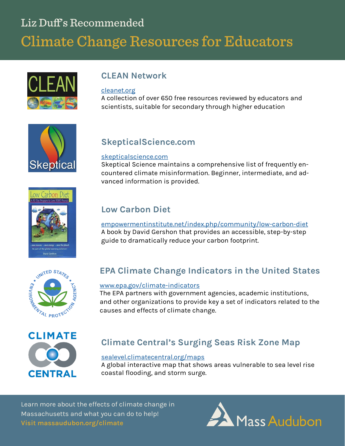# Liz Duff's Recommended **Climate Change Resources for Educators**





#### [cleanet.org](http://cleanet.org/index.html)

A collection of over 650 free resources reviewed by educators and scientists, suitable for secondary through higher education



# **SkepticalScience.com**

#### [skepticalscience.com](https://www.skepticalscience.com/)

Skeptical Science maintains a comprehensive list of frequently encountered climate misinformation. Beginner, intermediate, and advanced information is provided.



## **Low Carbon Diet**

[empowermentinstitute.net/index.php/community/low](http://www.empowermentinstitute.net/index.php/community/low-carbon-diet)-carbon-diet A book by David Gershon that provides an accessible, step-by-step guide to dramatically reduce your carbon footprint.



# **EPA Climate Change Indicators in the United States**

#### [www.epa.gov/climate](https://www.epa.gov/climate-indicators)-indicators

The EPA partners with government agencies, academic institutions, and other organizations to provide key a set of indicators related to the causes and effects of climate change.



# **Climate Central's Surging Seas Risk Zone Map**

#### [sealevel.climatecentral.org/maps](http://sealevel.climatecentral.org/maps)

A global interactive map that shows areas vulnerable to sea level rise coastal flooding, and storm surge.

Learn more about the effects of climate change in Massachusetts and what you can do to help! **Visit massaudubon.org/climate**